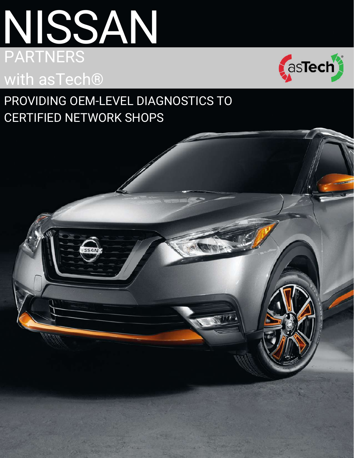# NISSAN PARTNERS AND LOCAL THE RESERVE ENDING: with asTech®



### PROVIDING OEM-LEVEL DIAGNOSTICS TO CERTIFIED NETWORK SHOPS

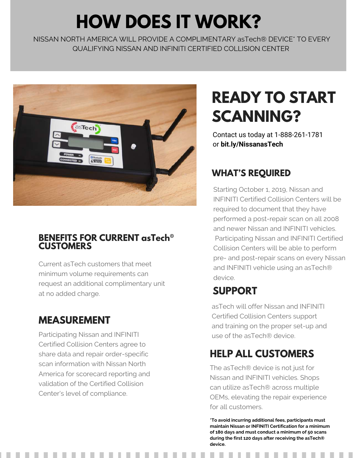# **HOW DOES IT WORK?**

NISSAN NORTH AMERICA WILL PROVIDE A COMPLIMENTARY asTech® DEVICE\* TO EVERY QUALIFYING NISSAN AND INFINITI CERTIFIED COLLISION CENTER



#### **BENEFITS FOR CURRENT asTech® CUSTOMERS**

Current asTech customers that meet minimum volume requirements can request an additional complimentary unit at no added charge. **SUPPORT**

#### **MEASUREMENT**

Participating Nissan and INFINITI **the astack of the astech®** device. Certified Collision Centers agree to share data and repair order-specific scan information with Nissan North America for scorecard reporting and validation of the Certified Collision Center's level of compliance.

# **READY TO START SCANNING?**

[Contact us today at 1-888-261-1781](http://bit.ly/NissanasTech) or **bit.ly/NissanasTech**

#### **WHAT'S REQUIRED**

Starting October 1, 2019, Nissan and INFINITI Certified Collision Centers will be required to document that they have performed a post-repair scan on all 2008 and newer Nissan and INFINITI vehicles. Participating Nissan and INFINITI Certified Collision Centers will be able to perform pre- and post-repair scans on every Nissan and INFINITI vehicle using an asTech® device.

asTech will offer Nissan and INFINITI Certified Collision Centers support and training on the proper set-up and

### **HELP ALL CUSTOMERS**

The asTech® device is not just for Nissan and INFINITI vehicles. Shops can utilize asTech® across multiple OEMs, elevating the repair experience for all customers.

**\*To avoid incurring additional fees, participants must maintain Nissan or INFINITI Certification for a minimum of 180 days and must conduct a minimum of 50 scans during the first 120 days after receiving the asTech® device.**